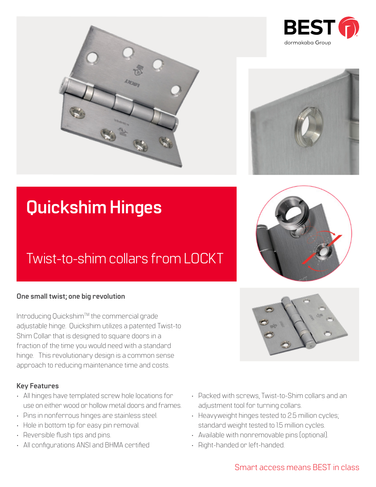



# **Quickshim Hinges**

## Twist-to-shim collars from LOCKT

#### **One small twist; one big revolution**

Introducing Quickshim™ the commercial grade adjustable hinge. Quickshim utilizes a patented Twist-to Shim Collar that is designed to square doors in a fraction of the time you would need with a standard hinge. This revolutionary design is a common sense approach to reducing maintenance time and costs.

#### **Key Features**

- All hinges have templated screw hole locations for use on either wood or hollow metal doors and frames.
- Pins in nonferrous hinges are stainless steel.
- Hole in bottom tip for easy pin removal.
- Reversible flush tips and pins.
- All configurations ANSI and BHMA certified
- Packed with screws, Twist-to-Shim collars and an adjustment tool for turning collars.
- Heavyweight hinges tested to 2.5 million cycles; standard weight tested to 1.5 million cycles.
- Available with nonremovable pins (optional).
- Right-handed or left-handed.